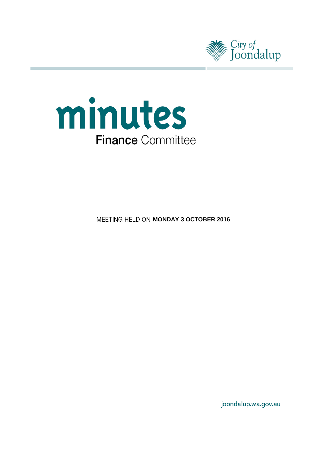



**MEETING HELD ON MONDAY 3 OCTOBER 2016** 

joondalup.wa.gov.au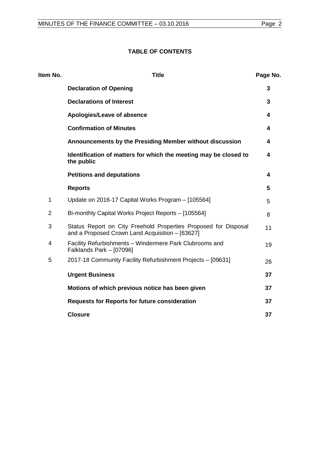# **TABLE OF CONTENTS**

| Item No.       | <b>Title</b>                                                                                                       | Page No. |
|----------------|--------------------------------------------------------------------------------------------------------------------|----------|
|                | <b>Declaration of Opening</b>                                                                                      | 3        |
|                | <b>Declarations of Interest</b>                                                                                    | 3        |
|                | Apologies/Leave of absence                                                                                         | 4        |
|                | <b>Confirmation of Minutes</b>                                                                                     | 4        |
|                | Announcements by the Presiding Member without discussion                                                           | 4        |
|                | Identification of matters for which the meeting may be closed to<br>the public                                     | 4        |
|                | <b>Petitions and deputations</b>                                                                                   | 4        |
|                | <b>Reports</b>                                                                                                     | 5        |
| 1              | Update on 2016-17 Capital Works Program - [105564]                                                                 | 5        |
| $\overline{2}$ | Bi-monthly Capital Works Project Reports - [105564]                                                                | 8        |
| 3              | Status Report on City Freehold Properties Proposed for Disposal<br>and a Proposed Crown Land Acquisition - [63627] | 11       |
| 4              | Facility Refurbishments - Windermere Park Clubrooms and<br>Falklands Park - [07096]                                | 19       |
| 5              | 2017-18 Community Facility Refurbishment Projects - [09631]                                                        | 26       |
|                | <b>Urgent Business</b>                                                                                             | 37       |
|                | Motions of which previous notice has been given                                                                    | 37       |
|                | <b>Requests for Reports for future consideration</b>                                                               | 37       |
|                | <b>Closure</b>                                                                                                     | 37       |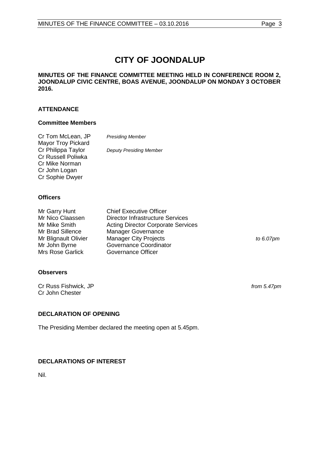# **CITY OF JOONDALUP**

#### **MINUTES OF THE FINANCE COMMITTEE MEETING HELD IN CONFERENCE ROOM 2, JOONDALUP CIVIC CENTRE, BOAS AVENUE, JOONDALUP ON MONDAY 3 OCTOBER 2016.**

# **ATTENDANCE**

#### **Committee Members**

| Cr Tom McLean, JP         | <b>Presiding Member</b>        |
|---------------------------|--------------------------------|
| <b>Mayor Troy Pickard</b> |                                |
| Cr Philippa Taylor        | <b>Deputy Presiding Member</b> |
| Cr Russell Poliwka        |                                |
| Cr Mike Norman            |                                |
| Cr John Logan             |                                |
| Cr Sophie Dwyer           |                                |

#### **Officers**

| Mr Garry Hunt           | <b>Chief Executive Officer</b>            |              |
|-------------------------|-------------------------------------------|--------------|
| Mr Nico Claassen        | Director Infrastructure Services          |              |
| Mr Mike Smith           | <b>Acting Director Corporate Services</b> |              |
| Mr Brad Sillence        | <b>Manager Governance</b>                 |              |
| Mr Blignault Olivier    | <b>Manager City Projects</b>              | to $6.07$ pm |
| Mr John Byrne           | Governance Coordinator                    |              |
| <b>Mrs Rose Garlick</b> | Governance Officer                        |              |

#### **Observers**

Cr Russ Fishwick, JP *from 5.47pm* Cr John Chester

#### <span id="page-2-0"></span>**DECLARATION OF OPENING**

The Presiding Member declared the meeting open at 5.45pm.

#### <span id="page-2-1"></span>**DECLARATIONS OF INTEREST**

<span id="page-2-2"></span>Nil.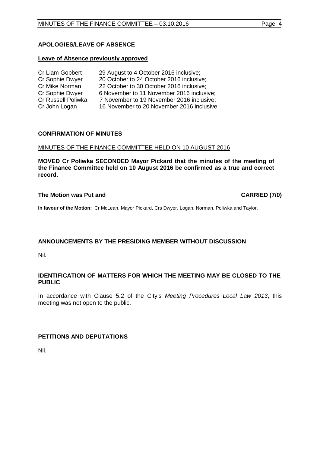# **APOLOGIES/LEAVE OF ABSENCE**

#### **Leave of Absence previously approved**

| Cr Liam Gobbert    | 29 August to 4 October 2016 inclusive;     |
|--------------------|--------------------------------------------|
| Cr Sophie Dwyer    | 20 October to 24 October 2016 inclusive;   |
| Cr Mike Norman     | 22 October to 30 October 2016 inclusive;   |
| Cr Sophie Dwyer    | 6 November to 11 November 2016 inclusive;  |
| Cr Russell Poliwka | 7 November to 19 November 2016 inclusive;  |
| Cr John Logan      | 16 November to 20 November 2016 inclusive. |

#### <span id="page-3-0"></span>**CONFIRMATION OF MINUTES**

#### MINUTES OF THE FINANCE COMMITTEE HELD ON 10 AUGUST 2016

**MOVED Cr Poliwka SECONDED Mayor Pickard that the minutes of the meeting of the Finance Committee held on 10 August 2016 be confirmed as a true and correct record.**

#### **The Motion was Put and CARRIED (7/0)**

**In favour of the Motion:** Cr McLean, Mayor Pickard, Crs Dwyer, Logan, Norman, Poliwka and Taylor.

#### <span id="page-3-1"></span>**ANNOUNCEMENTS BY THE PRESIDING MEMBER WITHOUT DISCUSSION**

Nil.

#### <span id="page-3-2"></span>**IDENTIFICATION OF MATTERS FOR WHICH THE MEETING MAY BE CLOSED TO THE PUBLIC**

In accordance with Clause 5.2 of the City's *Meeting Procedures Local Law 2013*, this meeting was not open to the public.

#### <span id="page-3-3"></span>**PETITIONS AND DEPUTATIONS**

Nil.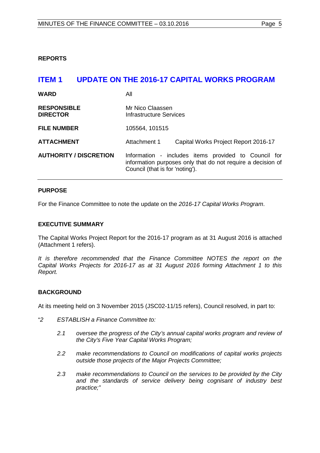<span id="page-4-0"></span>**REPORTS**

# <span id="page-4-1"></span>**ITEM 1 UPDATE ON THE 2016-17 CAPITAL WORKS PROGRAM**

| <b>WARD</b>                           | All                                                                                                                                                    |                                      |
|---------------------------------------|--------------------------------------------------------------------------------------------------------------------------------------------------------|--------------------------------------|
| <b>RESPONSIBLE</b><br><b>DIRECTOR</b> | Mr Nico Claassen<br>Infrastructure Services                                                                                                            |                                      |
| <b>FILE NUMBER</b>                    | 105564, 101515                                                                                                                                         |                                      |
| <b>ATTACHMENT</b>                     | Attachment 1                                                                                                                                           | Capital Works Project Report 2016-17 |
| <b>AUTHORITY / DISCRETION</b>         | Information - includes items provided to Council for<br>information purposes only that do not require a decision of<br>Council (that is for 'noting'). |                                      |

## **PURPOSE**

For the Finance Committee to note the update on the *2016-17 Capital Works Program*.

#### **EXECUTIVE SUMMARY**

The Capital Works Project Report for the 2016-17 program as at 31 August 2016 is attached (Attachment 1 refers).

*It is therefore recommended that the Finance Committee NOTES the report on the Capital Works Projects for 2016-17 as at 31 August 2016 forming Attachment 1 to this Report.*

#### **BACKGROUND**

At its meeting held on 3 November 2015 (JSC02-11/15 refers), Council resolved, in part to:

- "*2 ESTABLISH a Finance Committee to:*
	- *2.1 oversee the progress of the City's annual capital works program and review of the City's Five Year Capital Works Program;*
	- *2.2 make recommendations to Council on modifications of capital works projects outside those projects of the Major Projects Committee;*
	- *2.3 make recommendations to Council on the services to be provided by the City and the standards of service delivery being cognisant of industry best practice;"*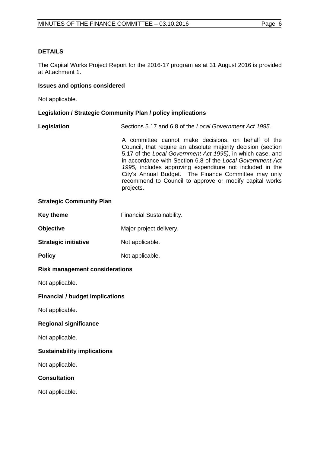# **DETAILS**

The Capital Works Project Report for the 2016-17 program as at 31 August 2016 is provided at Attachment 1.

#### **Issues and options considered**

Not applicable.

#### **Legislation / Strategic Community Plan / policy implications**

**Legislation** Sections 5.17 and 6.8 of the *Local Government Act 1995.*

A committee cannot make decisions, on behalf of the Council, that require an absolute majority decision (section 5.17 of the *Local Government Act 1995)*, in which case, and in accordance with Section 6.8 of the *Local Government Act 1995,* includes approving expenditure not included in the City's Annual Budget. The Finance Committee may only recommend to Council to approve or modify capital works projects.

#### **Strategic Community Plan**

| <b>Key theme</b> | <b>Financial Sustainability.</b> |
|------------------|----------------------------------|
|------------------|----------------------------------|

**Objective** Major project delivery.

**Strategic initiative** Not applicable.

**Policy** Not applicable.

#### **Risk management considerations**

Not applicable.

#### **Financial / budget implications**

Not applicable.

#### **Regional significance**

Not applicable.

#### **Sustainability implications**

Not applicable.

#### **Consultation**

Not applicable.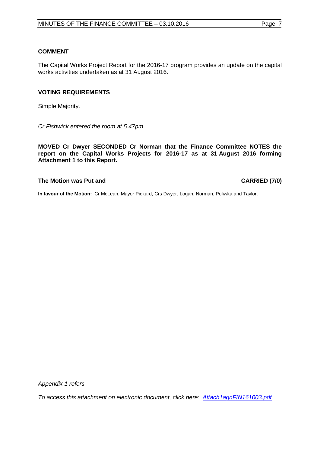#### **COMMENT**

The Capital Works Project Report for the 2016-17 program provides an update on the capital works activities undertaken as at 31 August 2016.

#### **VOTING REQUIREMENTS**

Simple Majority.

*Cr Fishwick entered the room at 5.47pm.*

**MOVED Cr Dwyer SECONDED Cr Norman that the Finance Committee NOTES the report on the Capital Works Projects for 2016-17 as at 31 August 2016 forming Attachment 1 to this Report.**

#### **The Motion was Put and CARRIED (7/0)**

**In favour of the Motion:** Cr McLean, Mayor Pickard, Crs Dwyer, Logan, Norman, Poliwka and Taylor.

*Appendix 1 refers*

<span id="page-6-0"></span>*To access [this attachment on electronic document, click here: Attach1agnFIN161003.pdf](http://www.joondalup.wa.gov.au/files/committees/FINC/2016/Attach1agnFIN161003.pdf)*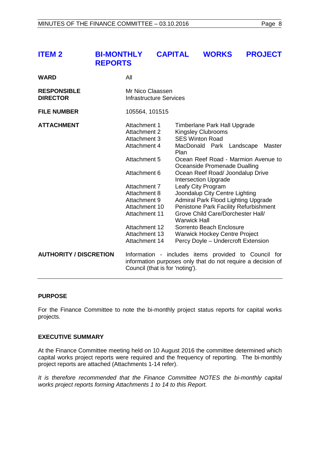| <b>ITEM 2</b>                         | <b>BI-MONTHLY</b><br><b>REPORTS</b>          | <b>CAPITAL</b>                              | <b>WORKS</b>                                                                        | <b>PROJECT</b> |
|---------------------------------------|----------------------------------------------|---------------------------------------------|-------------------------------------------------------------------------------------|----------------|
| <b>WARD</b>                           | All                                          |                                             |                                                                                     |                |
| <b>RESPONSIBLE</b><br><b>DIRECTOR</b> |                                              | Mr Nico Claassen<br>Infrastructure Services |                                                                                     |                |
| <b>FILE NUMBER</b>                    | 105564, 101515                               |                                             |                                                                                     |                |
| <b>ATTACHMENT</b>                     | Attachment 1<br>Attachment 2<br>Attachment 3 |                                             | Timberlane Park Hall Upgrade<br><b>Kingsley Clubrooms</b><br><b>SES Winton Road</b> |                |

Attachment 3 SES Winton Road<br>Attachment 4 MacDonald Park

Attachment 7 Leafy City Program<br>Attachment 8 Joondalup City Cen

Plan

Attachment 5 Ocean Reef Road - Marmion Avenue to

Attachment 6 Ocean Reef Road/ Joondalup Drive Intersection Upgrade

Attachment 10 Penistone Park Facility Refurbishment<br>Attachment 11 Grove Child Care/Dorchester Hall/

information purposes only that do not require a decision of

Attachment 8 Joondalup City Centre Lighting<br>Attachment 9 Admiral Park Flood Lighting Up

Warwick Hall

Attachment 12 Sorrento Beach Enclosure<br>Attachment 13 Warwick Hockey Centre Pi Attachment 13 Warwick Hockey Centre Project<br>Attachment 14 Percy Dovle – Undercroft Extens

Oceanside Promenade Dualling

Admiral Park Flood Lighting Upgrade

Grove Child Care/Dorchester Hall/

Percy Doyle – Undercroft Extension

MacDonald Park Landscape Master

#### **PURPOSE**

For the Finance Committee to note the bi-monthly project status reports for capital works projects.

**AUTHORITY / DISCRETION** Information - includes items provided to Council for

Council (that is for 'noting').

#### **EXECUTIVE SUMMARY**

At the Finance Committee meeting held on 10 August 2016 the committee determined which capital works project reports were required and the frequency of reporting. The bi-monthly project reports are attached (Attachments 1-14 refer).

*It is therefore recommended that the Finance Committee NOTES the bi-monthly capital works project reports forming Attachments 1 to 14 to this Report.*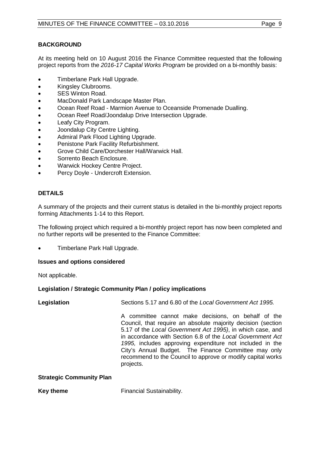# **BACKGROUND**

At its meeting held on 10 August 2016 the Finance Committee requested that the following project reports from the *2016-17 Capital Works Program* be provided on a bi-monthly basis:

- Timberlane Park Hall Upgrade.
- Kingsley Clubrooms.
- SES Winton Road.
- MacDonald Park Landscape Master Plan.
- Ocean Reef Road Marmion Avenue to Oceanside Promenade Dualling.
- Ocean Reef Road/Joondalup Drive Intersection Upgrade.
- Leafy City Program.
- Joondalup City Centre Lighting.
- Admiral Park Flood Lighting Upgrade.
- Penistone Park Facility Refurbishment.
- Grove Child Care/Dorchester Hall/Warwick Hall.
- Sorrento Beach Enclosure.
- Warwick Hockey Centre Project.
- Percy Doyle Undercroft Extension.

## **DETAILS**

A summary of the projects and their current status is detailed in the bi-monthly project reports forming Attachments 1-14 to this Report.

The following project which required a bi-monthly project report has now been completed and no further reports will be presented to the Finance Committee:

• Timberlane Park Hall Upgrade.

### **Issues and options considered**

Not applicable.

#### **Legislation / Strategic Community Plan / policy implications**

| Legislation | Sections 5.17 and 6.80 of the Local Government Act 1995.                                                                                                                                                                                                                                                                                                                                                                                        |
|-------------|-------------------------------------------------------------------------------------------------------------------------------------------------------------------------------------------------------------------------------------------------------------------------------------------------------------------------------------------------------------------------------------------------------------------------------------------------|
|             | A committee cannot make decisions, on behalf of the<br>Council, that require an absolute majority decision (section<br>5.17 of the Local Government Act 1995), in which case, and<br>in accordance with Section 6.8 of the Local Government Act<br>1995, includes approving expenditure not included in the<br>City's Annual Budget. The Finance Committee may only<br>recommend to the Council to approve or modify capital works<br>projects. |
|             |                                                                                                                                                                                                                                                                                                                                                                                                                                                 |

#### **Strategic Community Plan**

**Key theme** Financial Sustainability.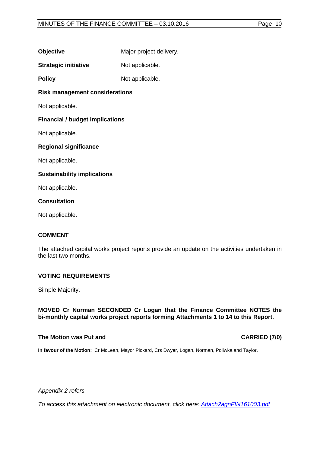| <b>Objective</b> | Major project delivery. |
|------------------|-------------------------|
|------------------|-------------------------|

**Strategic initiative** Not applicable.

**Policy** Not applicable.

## **Risk management considerations**

Not applicable.

#### **Financial / budget implications**

Not applicable.

#### **Regional significance**

Not applicable.

#### **Sustainability implications**

Not applicable.

#### **Consultation**

Not applicable.

#### **COMMENT**

The attached capital works project reports provide an update on the activities undertaken in the last two months.

#### **VOTING REQUIREMENTS**

Simple Majority.

**MOVED Cr Norman SECONDED Cr Logan that the Finance Committee NOTES the bi-monthly capital works project reports forming Attachments 1 to 14 to this Report.**

#### **The Motion was Put and CARRIED (7/0)**

**In favour of the Motion:** Cr McLean, Mayor Pickard, Crs Dwyer, Logan, Norman, Poliwka and Taylor.

*Appendix 2 refers*

*[To access this attachment on electronic document, click here: Attach2agnFIN161003.pdf](http://www.joondalup.wa.gov.au/files/committees/FINC/2016/Attach2agnFIN161003.pdf)*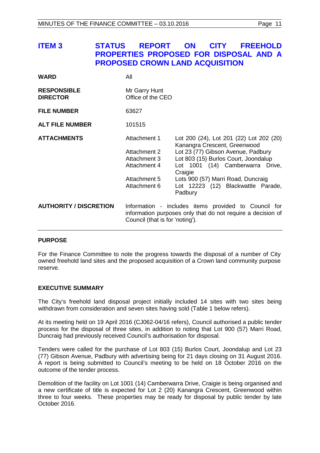# <span id="page-10-0"></span>**ITEM 3 STATUS REPORT ON CITY FREEHOLD PROPERTIES PROPOSED FOR DISPOSAL AND A PROPOSED CROWN LAND ACQUISITION**

| <b>WARD</b>                           | All                                                                                          |                                                                                                                                                                                                                                                                                             |
|---------------------------------------|----------------------------------------------------------------------------------------------|---------------------------------------------------------------------------------------------------------------------------------------------------------------------------------------------------------------------------------------------------------------------------------------------|
| <b>RESPONSIBLE</b><br><b>DIRECTOR</b> | Mr Garry Hunt<br>Office of the CEO                                                           |                                                                                                                                                                                                                                                                                             |
| <b>FILE NUMBER</b>                    | 63627                                                                                        |                                                                                                                                                                                                                                                                                             |
| <b>ALT FILE NUMBER</b>                | 101515                                                                                       |                                                                                                                                                                                                                                                                                             |
| <b>ATTACHMENTS</b>                    | Attachment 1<br>Attachment 2<br>Attachment 3<br>Attachment 4<br>Attachment 5<br>Attachment 6 | Lot 200 (24), Lot 201 (22) Lot 202 (20)<br>Kanangra Crescent, Greenwood<br>Lot 23 (77) Gibson Avenue, Padbury<br>Lot 803 (15) Burlos Court, Joondalup<br>Lot 1001 (14) Camberwarra Drive,<br>Craigie<br>Lots 900 (57) Marri Road, Duncraig<br>Lot 12223 (12) Blackwattle Parade,<br>Padbury |
| <b>AUTHORITY / DISCRETION</b>         | Council (that is for 'noting').                                                              | Information - includes items provided to Council for<br>information purposes only that do not require a decision of                                                                                                                                                                         |

#### **PURPOSE**

For the Finance Committee to note the progress towards the disposal of a number of City owned freehold land sites and the proposed acquisition of a Crown land community purpose reserve.

#### **EXECUTIVE SUMMARY**

The City's freehold land disposal project initially included 14 sites with two sites being withdrawn from consideration and seven sites having sold (Table 1 below refers).

At its meeting held on 19 April 2016 (CJ062-04/16 refers), Council authorised a public tender process for the disposal of three sites, in addition to noting that Lot 900 (57) Marri Road, Duncraig had previously received Council's authorisation for disposal.

Tenders were called for the purchase of Lot 803 (15) Burlos Court, Joondalup and Lot 23 (77) Gibson Avenue, Padbury with advertising being for 21 days closing on 31 August 2016. A report is being submitted to Council's meeting to be held on 18 October 2016 on the outcome of the tender process.

Demolition of the facility on Lot 1001 (14) Camberwarra Drive, Craigie is being organised and a new certificate of title is expected for Lot 2 (20) Kanangra Crescent, Greenwood within three to four weeks. These properties may be ready for disposal by public tender by late October 2016.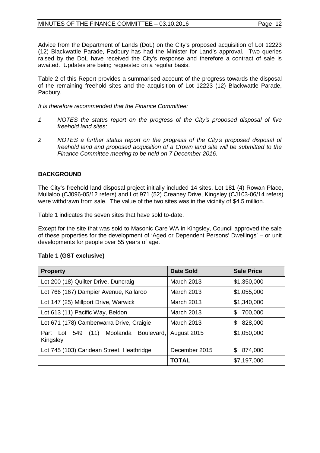Advice from the Department of Lands (DoL) on the City's proposed acquisition of Lot 12223 (12) Blackwattle Parade, Padbury has had the Minister for Land's approval. Two queries raised by the DoL have received the City's response and therefore a contract of sale is awaited. Updates are being requested on a regular basis.

Table 2 of this Report provides a summarised account of the progress towards the disposal of the remaining freehold sites and the acquisition of Lot 12223 (12) Blackwattle Parade, Padbury.

*It is therefore recommended that the Finance Committee:* 

- *1 NOTES the status report on the progress of the City's proposed disposal of five freehold land sites;*
- *2 NOTES a further status report on the progress of the City's proposed disposal of freehold land and proposed acquisition of a Crown land site will be submitted to the Finance Committee meeting to be held on 7 December 2016.*

# **BACKGROUND**

The City's freehold land disposal project initially included 14 sites. Lot 181 (4) Rowan Place, Mullaloo (CJ096-05/12 refers) and Lot 971 (52) Creaney Drive, Kingsley (CJ103-06/14 refers) were withdrawn from sale. The value of the two sites was in the vicinity of \$4.5 million.

Table 1 indicates the seven sites that have sold to-date.

Except for the site that was sold to Masonic Care WA in Kingsley, Council approved the sale of these properties for the development of 'Aged or Dependent Persons' Dwellings' – or unit developments for people over 55 years of age.

| <b>Property</b>                                               | Date Sold         | <b>Sale Price</b> |
|---------------------------------------------------------------|-------------------|-------------------|
| Lot 200 (18) Quilter Drive, Duncraig                          | <b>March 2013</b> | \$1,350,000       |
| Lot 766 (167) Dampier Avenue, Kallaroo                        | March 2013        | \$1,055,000       |
| Lot 147 (25) Millport Drive, Warwick                          | March 2013        | \$1,340,000       |
| Lot 613 (11) Pacific Way, Beldon                              | <b>March 2013</b> | 700,000<br>\$     |
| Lot 671 (178) Camberwarra Drive, Craigie                      | <b>March 2013</b> | 828,000<br>\$     |
| Moolanda<br>Boulevard,<br>(11)<br>Lot 549<br>Part<br>Kingsley | August 2015       | \$1,050,000       |
| Lot 745 (103) Caridean Street, Heathridge                     | December 2015     | \$<br>874,000     |
|                                                               | <b>TOTAL</b>      | \$7,197,000       |

#### **Table 1 (GST exclusive)**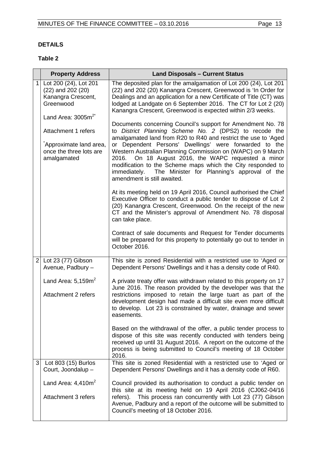# **DETAILS**

# **Table 2**

|                | <b>Property Address</b>                                                                                      | <b>Land Disposals - Current Status</b>                                                                                                                                                                                                                                                                                                                                                                                                                                                                                               |
|----------------|--------------------------------------------------------------------------------------------------------------|--------------------------------------------------------------------------------------------------------------------------------------------------------------------------------------------------------------------------------------------------------------------------------------------------------------------------------------------------------------------------------------------------------------------------------------------------------------------------------------------------------------------------------------|
| 1              | Lot 200 (24), Lot 201<br>$(22)$ and $202(20)$<br>Kanangra Crescent,<br>Greenwood<br>Land Area: $3005m^{2^*}$ | The deposited plan for the amalgamation of Lot 200 (24), Lot 201<br>(22) and 202 (20) Kanangra Crescent, Greenwood is 'In Order for<br>Dealings and an application for a new Certificate of Title (CT) was<br>lodged at Landgate on 6 September 2016. The CT for Lot 2 (20)<br>Kanangra Crescent, Greenwood is expected within 2/3 weeks.                                                                                                                                                                                            |
|                | Attachment 1 refers<br>Approximate land area,<br>once the three lots are<br>amalgamated                      | Documents concerning Council's support for Amendment No. 78<br>to District Planning Scheme No. 2 (DPS2) to recode the<br>amalgamated land from R20 to R40 and restrict the use to 'Aged<br>or Dependent Persons' Dwellings' were forwarded to the<br>Western Australian Planning Commission on (WAPC) on 9 March<br>On 18 August 2016, the WAPC requested a minor<br>2016.<br>modification to the Scheme maps which the City responded to<br>immediately. The Minister for Planning's approval of the<br>amendment is still awaited. |
|                |                                                                                                              | At its meeting held on 19 April 2016, Council authorised the Chief<br>Executive Officer to conduct a public tender to dispose of Lot 2<br>(20) Kanangra Crescent, Greenwood. On the receipt of the new<br>CT and the Minister's approval of Amendment No. 78 disposal<br>can take place.                                                                                                                                                                                                                                             |
|                |                                                                                                              | Contract of sale documents and Request for Tender documents<br>will be prepared for this property to potentially go out to tender in<br>October 2016.                                                                                                                                                                                                                                                                                                                                                                                |
| 2 <sub>1</sub> | Lot 23 (77) Gibson<br>Avenue, Padbury -                                                                      | This site is zoned Residential with a restricted use to 'Aged or<br>Dependent Persons' Dwellings and it has a density code of R40.                                                                                                                                                                                                                                                                                                                                                                                                   |
|                | Land Area: $5,159m^2$<br><b>Attachment 2 refers</b>                                                          | A private treaty offer was withdrawn related to this property on 17<br>June 2016. The reason provided by the developer was that the<br>restrictions imposed to retain the large tuart as part of the<br>development design had made a difficult site even more difficult<br>to develop. Lot 23 is constrained by water, drainage and sewer<br>easements.                                                                                                                                                                             |
|                |                                                                                                              | Based on the withdrawal of the offer, a public tender process to<br>dispose of this site was recently conducted with tenders being<br>received up until 31 August 2016. A report on the outcome of the<br>process is being submitted to Council's meeting of 18 October<br>2016.                                                                                                                                                                                                                                                     |
| 3              | Lot 803 (15) Burlos<br>Court, Joondalup -                                                                    | This site is zoned Residential with a restricted use to 'Aged or<br>Dependent Persons' Dwellings and it has a density code of R60.                                                                                                                                                                                                                                                                                                                                                                                                   |
|                | Land Area: $4,410m^2$                                                                                        | Council provided its authorisation to conduct a public tender on<br>this site at its meeting held on 19 April 2016 (CJ062-04/16                                                                                                                                                                                                                                                                                                                                                                                                      |
|                | Attachment 3 refers                                                                                          | This process ran concurrently with Lot 23 (77) Gibson<br>refers).<br>Avenue, Padbury and a report of the outcome will be submitted to<br>Council's meeting of 18 October 2016.                                                                                                                                                                                                                                                                                                                                                       |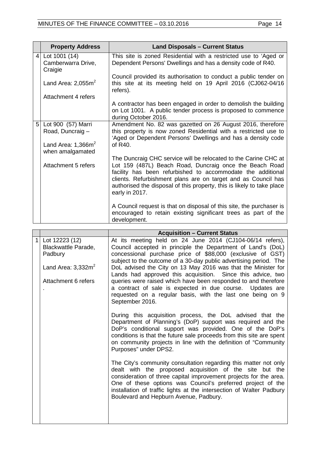|                | <b>Property Address</b>                          | <b>Land Disposals - Current Status</b>                                                                                                                                                                                                                                              |
|----------------|--------------------------------------------------|-------------------------------------------------------------------------------------------------------------------------------------------------------------------------------------------------------------------------------------------------------------------------------------|
|                | 4 Lot 1001 (14)<br>Camberwarra Drive,<br>Craigie | This site is zoned Residential with a restricted use to 'Aged or<br>Dependent Persons' Dwellings and has a density code of R40.                                                                                                                                                     |
|                | Land Area: $2,055m^2$                            | Council provided its authorisation to conduct a public tender on<br>this site at its meeting held on 19 April 2016 (CJ062-04/16<br>refers).                                                                                                                                         |
|                | Attachment 4 refers                              |                                                                                                                                                                                                                                                                                     |
|                |                                                  | A contractor has been engaged in order to demolish the building<br>on Lot 1001. A public tender process is proposed to commence<br>during October 2016.                                                                                                                             |
| 5 <sub>1</sub> | Lot 900 (57) Marri<br>Road, Duncraig-            | Amendment No. 82 was gazetted on 26 August 2016, therefore<br>this property is now zoned Residential with a restricted use to<br>'Aged or Dependent Persons' Dwellings and has a density code                                                                                       |
|                | Land Area: $1,366m^2$<br>when amalgamated        | of $R40$                                                                                                                                                                                                                                                                            |
|                |                                                  | The Duncraig CHC service will be relocated to the Carine CHC at                                                                                                                                                                                                                     |
|                | Attachment 5 refers                              | Lot 159 (487L) Beach Road, Duncraig once the Beach Road<br>facility has been refurbished to accommodate the additional<br>clients. Refurbishment plans are on target and as Council has<br>authorised the disposal of this property, this is likely to take place<br>early in 2017. |
|                |                                                  | A Council request is that on disposal of this site, the purchaser is<br>encouraged to retain existing significant trees as part of the<br>development.                                                                                                                              |

|   |                                                                           | <b>Acquisition - Current Status</b>                                                                                                                                                                                                                                                                                                                                               |
|---|---------------------------------------------------------------------------|-----------------------------------------------------------------------------------------------------------------------------------------------------------------------------------------------------------------------------------------------------------------------------------------------------------------------------------------------------------------------------------|
| 1 | Lot 12223 (12)<br>Blackwattle Parade,<br>Padbury<br>Land Area: $3,332m^2$ | At its meeting held on 24 June 2014 (CJ104-06/14 refers),<br>Council accepted in principle the Department of Land's (DoL)<br>concessional purchase price of \$88,000 (exclusive of GST)<br>subject to the outcome of a 30-day public advertising period. The<br>DoL advised the City on 13 May 2016 was that the Minister for                                                     |
|   | Attachment 6 refers                                                       | Lands had approved this acquisition. Since this advice, two<br>queries were raised which have been responded to and therefore<br>a contract of sale is expected in due course. Updates are<br>requested on a regular basis, with the last one being on 9<br>September 2016.                                                                                                       |
|   |                                                                           | During this acquisition process, the DoL advised that the<br>Department of Planning's (DoP) support was required and the<br>DoP's conditional support was provided. One of the DoP's<br>conditions is that the future sale proceeds from this site are spent<br>on community projects in line with the definition of "Community<br>Purposes" under DPS2.                          |
|   |                                                                           | The City's community consultation regarding this matter not only<br>dealt with the proposed acquisition of the site but the<br>consideration of three capital improvement projects for the area.<br>One of these options was Council's preferred project of the<br>installation of traffic lights at the intersection of Walter Padbury<br>Boulevard and Hepburn Avenue, Padbury. |
|   |                                                                           |                                                                                                                                                                                                                                                                                                                                                                                   |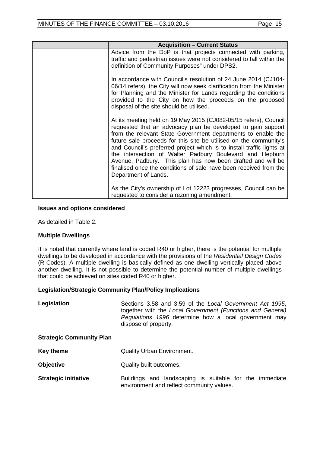| <b>Acquisition - Current Status</b>                                                                                                                                                                                                                                                                                                                                                                                                                                                                                                                                    |
|------------------------------------------------------------------------------------------------------------------------------------------------------------------------------------------------------------------------------------------------------------------------------------------------------------------------------------------------------------------------------------------------------------------------------------------------------------------------------------------------------------------------------------------------------------------------|
| Advice from the DoP is that projects connected with parking,<br>traffic and pedestrian issues were not considered to fall within the<br>definition of Community Purposes" under DPS2.                                                                                                                                                                                                                                                                                                                                                                                  |
| In accordance with Council's resolution of 24 June 2014 (CJ104-<br>06/14 refers), the City will now seek clarification from the Minister<br>for Planning and the Minister for Lands regarding the conditions<br>provided to the City on how the proceeds on the proposed<br>disposal of the site should be utilised.                                                                                                                                                                                                                                                   |
| At its meeting held on 19 May 2015 (CJ082-05/15 refers), Council<br>requested that an advocacy plan be developed to gain support<br>from the relevant State Government departments to enable the<br>future sale proceeds for this site be utilised on the community's<br>and Council's preferred project which is to install traffic lights at<br>the intersection of Walter Padbury Boulevard and Hepburn<br>Avenue, Padbury. This plan has now been drafted and will be<br>finalised once the conditions of sale have been received from the<br>Department of Lands. |
| As the City's ownership of Lot 12223 progresses, Council can be<br>requested to consider a rezoning amendment.                                                                                                                                                                                                                                                                                                                                                                                                                                                         |

#### **Issues and options considered**

As detailed in Table 2.

#### **Multiple Dwellings**

It is noted that currently where land is coded R40 or higher, there is the potential for multiple dwellings to be developed in accordance with the provisions of the *Residential Design Codes*  (R-Codes). A multiple dwelling is basically defined as one dwelling vertically placed above another dwelling. It is not possible to determine the potential number of multiple dwellings that could be achieved on sites coded R40 or higher.

#### **Legislation/Strategic Community Plan/Policy Implications**

| Legislation | Sections 3.58 and 3.59 of the Local Government Act 1995,   |
|-------------|------------------------------------------------------------|
|             | together with the Local Government (Functions and General) |
|             | Regulations 1996 determine how a local government may      |
|             | dispose of property.                                       |

#### **Strategic Community Plan**

| Key theme | <b>Quality Urban Environment.</b> |
|-----------|-----------------------------------|
|-----------|-----------------------------------|

- **Objective** Quality built outcomes.
- **Strategic initiative** Buildings and landscaping is suitable for the immediate environment and reflect community values.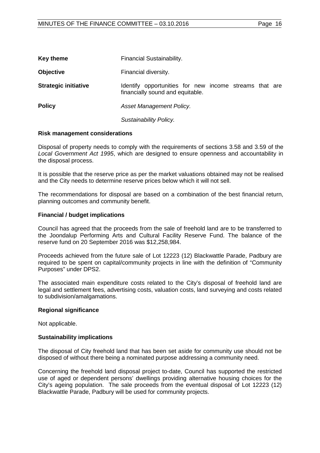| Key theme                   | Financial Sustainability.                                                                  |
|-----------------------------|--------------------------------------------------------------------------------------------|
| <b>Objective</b>            | Financial diversity.                                                                       |
| <b>Strategic initiative</b> | Identify opportunities for new income streams that are<br>financially sound and equitable. |
| <b>Policy</b>               | Asset Management Policy.                                                                   |

*Sustainability Policy.* 

#### **Risk management considerations**

Disposal of property needs to comply with the requirements of sections 3.58 and 3.59 of the *Local Government Act 1995*, which are designed to ensure openness and accountability in the disposal process.

It is possible that the reserve price as per the market valuations obtained may not be realised and the City needs to determine reserve prices below which it will not sell.

The recommendations for disposal are based on a combination of the best financial return, planning outcomes and community benefit.

#### **Financial / budget implications**

Council has agreed that the proceeds from the sale of freehold land are to be transferred to the Joondalup Performing Arts and Cultural Facility Reserve Fund. The balance of the reserve fund on 20 September 2016 was \$12,258,984.

Proceeds achieved from the future sale of Lot 12223 (12) Blackwattle Parade, Padbury are required to be spent on capital/community projects in line with the definition of "Community Purposes" under DPS2.

The associated main expenditure costs related to the City's disposal of freehold land are legal and settlement fees, advertising costs, valuation costs, land surveying and costs related to subdivision/amalgamations.

#### **Regional significance**

Not applicable.

#### **Sustainability implications**

The disposal of City freehold land that has been set aside for community use should not be disposed of without there being a nominated purpose addressing a community need.

Concerning the freehold land disposal project to-date, Council has supported the restricted use of aged or dependent persons' dwellings providing alternative housing choices for the City's ageing population. The sale proceeds from the eventual disposal of Lot 12223 (12) Blackwattle Parade, Padbury will be used for community projects.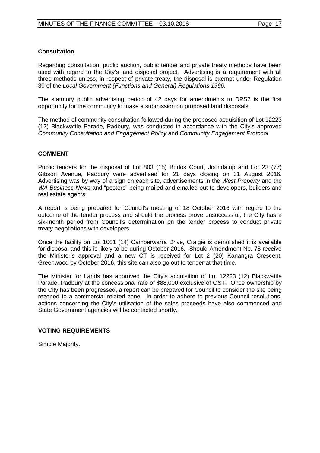# **Consultation**

Regarding consultation; public auction, public tender and private treaty methods have been used with regard to the City's land disposal project. Advertising is a requirement with all three methods unless, in respect of private treaty, the disposal is exempt under Regulation 30 of the *Local Government (Functions and General) Regulations 1996.*

The statutory public advertising period of 42 days for amendments to DPS2 is the first opportunity for the community to make a submission on proposed land disposals.

The method of community consultation followed during the proposed acquisition of Lot 12223 (12) Blackwattle Parade, Padbury, was conducted in accordance with the City's approved *Community Consultation and Engagement Policy* and *Community Engagement Protocol*.

## **COMMENT**

Public tenders for the disposal of Lot 803 (15) Burlos Court, Joondalup and Lot 23 (77) Gibson Avenue, Padbury were advertised for 21 days closing on 31 August 2016. Advertising was by way of a sign on each site, advertisements in the *West Property* and the *WA Business News* and "posters" being mailed and emailed out to developers, builders and real estate agents.

A report is being prepared for Council's meeting of 18 October 2016 with regard to the outcome of the tender process and should the process prove unsuccessful, the City has a six-month period from Council's determination on the tender process to conduct private treaty negotiations with developers.

Once the facility on Lot 1001 (14) Camberwarra Drive, Craigie is demolished it is available for disposal and this is likely to be during October 2016. Should Amendment No. 78 receive the Minister's approval and a new CT is received for Lot 2 (20) Kanangra Crescent, Greenwood by October 2016, this site can also go out to tender at that time.

The Minister for Lands has approved the City's acquisition of Lot 12223 (12) Blackwattle Parade, Padbury at the concessional rate of \$88,000 exclusive of GST. Once ownership by the City has been progressed, a report can be prepared for Council to consider the site being rezoned to a commercial related zone. In order to adhere to previous Council resolutions, actions concerning the City's utilisation of the sales proceeds have also commenced and State Government agencies will be contacted shortly.

#### **VOTING REQUIREMENTS**

Simple Majority.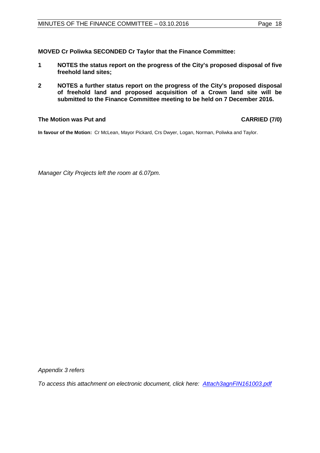**MOVED Cr Poliwka SECONDED Cr Taylor that the Finance Committee:** 

- **1 NOTES the status report on the progress of the City's proposed disposal of five freehold land sites;**
- **2 NOTES a further status report on the progress of the City's proposed disposal of freehold land and proposed acquisition of a Crown land site will be submitted to the Finance Committee meeting to be held on 7 December 2016.**

# **The Motion was Put and CARRIED (7/0)**

**In favour of the Motion:** Cr McLean, Mayor Pickard, Crs Dwyer, Logan, Norman, Poliwka and Taylor.

*Manager City Projects left the room at 6.07pm.*

*Appendix 3 refers*

*[To access this attachment on electronic document, click here: Attach3agnFIN161003.pdf](http://www.joondalup.wa.gov.au/files/committees/FINC/2016/Attach3agnFIN161003.pdf)*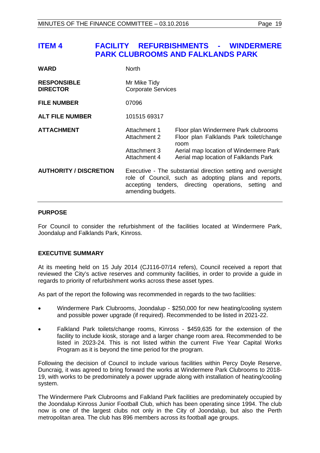# <span id="page-18-0"></span>**ITEM 4 FACILITY REFURBISHMENTS - WINDERMERE PARK CLUBROOMS AND FALKLANDS PARK**

| <b>WARD</b>                           | <b>North</b>                                 |                                                                                                                                                                             |
|---------------------------------------|----------------------------------------------|-----------------------------------------------------------------------------------------------------------------------------------------------------------------------------|
| <b>RESPONSIBLE</b><br><b>DIRECTOR</b> | Mr Mike Tidy<br><b>Corporate Services</b>    |                                                                                                                                                                             |
| <b>FILE NUMBER</b>                    | 07096                                        |                                                                                                                                                                             |
| <b>ALT FILE NUMBER</b>                | 101515 69317                                 |                                                                                                                                                                             |
| <b>ATTACHMENT</b>                     | Attachment 1<br>Attachment 2<br>Attachment 3 | Floor plan Windermere Park clubrooms<br>Floor plan Falklands Park toilet/change<br>room<br>Aerial map location of Windermere Park                                           |
|                                       | Attachment 4                                 | Aerial map location of Falklands Park                                                                                                                                       |
| <b>AUTHORITY / DISCRETION</b>         | amending budgets.                            | Executive - The substantial direction setting and oversight<br>role of Council, such as adopting plans and reports,<br>accepting tenders, directing operations, setting and |

#### **PURPOSE**

For Council to consider the refurbishment of the facilities located at Windermere Park, Joondalup and Falklands Park, Kinross.

# **EXECUTIVE SUMMARY**

At its meeting held on 15 July 2014 (CJ116-07/14 refers), Council received a report that reviewed the City's active reserves and community facilities, in order to provide a guide in regards to priority of refurbishment works across these asset types.

As part of the report the following was recommended in regards to the two facilities:

- Windermere Park Clubrooms, Joondalup \$250,000 for new heating/cooling system and possible power upgrade (if required). Recommended to be listed in 2021-22.
- Falkland Park toilets/change rooms, Kinross \$459,635 for the extension of the facility to include kiosk, storage and a larger change room area. Recommended to be listed in 2023-24. This is not listed within the current Five Year Capital Works Program as it is beyond the time period for the program.

Following the decision of Council to include various facilities within Percy Doyle Reserve, Duncraig, it was agreed to bring forward the works at Windermere Park Clubrooms to 2018- 19, with works to be predominately a power upgrade along with installation of heating/cooling system.

The Windermere Park Clubrooms and Falkland Park facilities are predominately occupied by the Joondalup Kinross Junior Football Club, which has been operating since 1994. The club now is one of the largest clubs not only in the City of Joondalup, but also the Perth metropolitan area. The club has 896 members across its football age groups.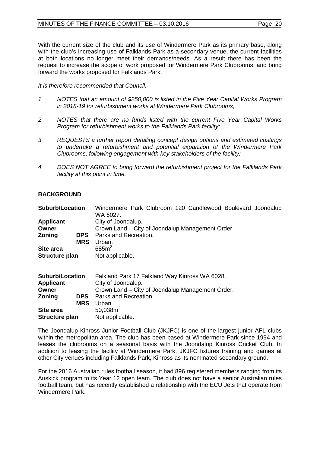With the current size of the club and its use of Windermere Park as its primary base, along with the club's increasing use of Falklands Park as a secondary venue, the current facilities at both locations no longer meet their demands/needs. As a result there has been the request to increase the scope of work proposed for Windermere Park Clubrooms, and bring forward the works proposed for Falklands Park.

*It is therefore recommended that Council:*

- *1 NOTES that an amount of \$250,000 is listed in the Five Year Capital Works Program in 2018-19 for refurbishment works at Windermere Park Clubrooms;*
- *2 NOTES that there are no funds listed with the current Five Year Capital Works Program for refurbishment works to the Falklands Park facility;*
- *3 REQUESTS a further report detailing concept design options and estimated costings to undertake a refurbishment and potential expansion of the Windermere Park Clubrooms, following engagement with key stakeholders of the facility;*
- *4 DOES NOT AGREE to bring forward the refurbishment project for the Falklands Park facility at this point in time.*

## **BACKGROUND**

| <b>Suburb/Location</b>                              | Windermere Park Clubroom 120 Candlewood Boulevard Joondalup<br>WA 6027.                                                  |
|-----------------------------------------------------|--------------------------------------------------------------------------------------------------------------------------|
| <b>Applicant</b>                                    | City of Joondalup.                                                                                                       |
| Owner                                               | Crown Land – City of Joondalup Management Order.                                                                         |
| Zoning<br><b>DPS</b><br><b>MRS</b>                  | Parks and Recreation.<br>Urban.                                                                                          |
| Site area                                           | 685m <sup>2</sup>                                                                                                        |
| Structure plan                                      | Not applicable.                                                                                                          |
| <b>Suburb/Location</b><br><b>Applicant</b><br>Owner | Falkland Park 17 Falkland Way Kinross WA 6028.<br>City of Joondalup.<br>Crown Land – City of Joondalup Management Order. |

| Applicant      |            | City of Joondalup.                               |
|----------------|------------|--------------------------------------------------|
| Owner          |            | Crown Land - City of Joondalup Management Order. |
| <b>Zoning</b>  | <b>DPS</b> | Parks and Recreation.                            |
|                | <b>MRS</b> | Urban.                                           |
| Site area      |            | 50,038 $m2$                                      |
| Structure plan |            | Not applicable.                                  |
|                |            |                                                  |

The Joondalup Kinross Junior Football Club (JKJFC) is one of the largest junior AFL clubs within the metropolitan area. The club has been based at Windermere Park since 1994 and leases the clubrooms on a seasonal basis with the Joondalup Kinross Cricket Club. In addition to leasing the facility at Windermere Park, JKJFC fixtures training and games at other City venues including Falklands Park, Kinross as its nominated secondary ground.

For the 2016 Australian rules football season, it had 896 registered members ranging from its Auskick program to its Year 12 open team. The club does not have a senior Australian rules football team, but has recently established a relationship with the ECU Jets that operate from Windermere Park.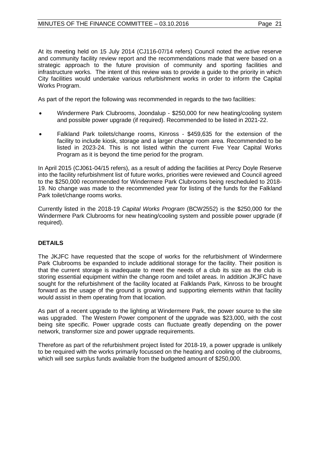At its meeting held on 15 July 2014 (CJ116-07/14 refers) Council noted the active reserve and community facility review report and the recommendations made that were based on a strategic approach to the future provision of community and sporting facilities and infrastructure works. The intent of this review was to provide a guide to the priority in which City facilities would undertake various refurbishment works in order to inform the Capital Works Program.

As part of the report the following was recommended in regards to the two facilities:

- Windermere Park Clubrooms, Joondalup \$250,000 for new heating/cooling system and possible power upgrade (if required). Recommended to be listed in 2021-22.
- Falkland Park toilets/change rooms, Kinross \$459,635 for the extension of the facility to include kiosk, storage and a larger change room area. Recommended to be listed in 2023-24. This is not listed within the current Five Year Capital Works Program as it is beyond the time period for the program.

In April 2015 (CJ061-04/15 refers), as a result of adding the facilities at Percy Doyle Reserve into the facility refurbishment list of future works, priorities were reviewed and Council agreed to the \$250,000 recommended for Windermere Park Clubrooms being rescheduled to 2018- 19. No change was made to the recommended year for listing of the funds for the Falkland Park toilet/change rooms works.

Currently listed in the 2018-19 *Capital Works Program* (BCW2552) is the \$250,000 for the Windermere Park Clubrooms for new heating/cooling system and possible power upgrade (if required).

# **DETAILS**

The JKJFC have requested that the scope of works for the refurbishment of Windermere Park Clubrooms be expanded to include additional storage for the facility. Their position is that the current storage is inadequate to meet the needs of a club its size as the club is storing essential equipment within the change room and toilet areas. In addition JKJFC have sought for the refurbishment of the facility located at Falklands Park, Kinross to be brought forward as the usage of the ground is growing and supporting elements within that facility would assist in them operating from that location.

As part of a recent upgrade to the lighting at Windermere Park, the power source to the site was upgraded. The Western Power component of the upgrade was \$23,000, with the cost being site specific. Power upgrade costs can fluctuate greatly depending on the power network, transformer size and power upgrade requirements.

Therefore as part of the refurbishment project listed for 2018-19, a power upgrade is unlikely to be required with the works primarily focussed on the heating and cooling of the clubrooms, which will see surplus funds available from the budgeted amount of \$250,000.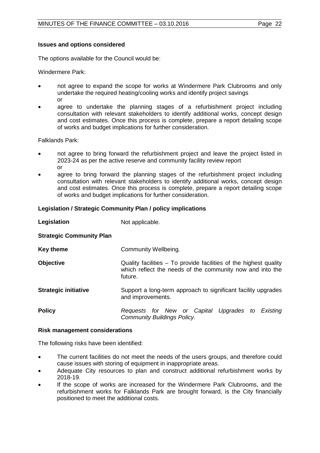The options available for the Council would be:

Windermere Park:

- not agree to expand the scope for works at Windermere Park Clubrooms and only undertake the required heating/cooling works and identify project savings or
- agree to undertake the planning stages of a refurbishment project including consultation with relevant stakeholders to identify additional works, concept design and cost estimates. Once this process is complete, prepare a report detailing scope of works and budget implications for further consideration.

Falklands Park:

- not agree to bring forward the refurbishment project and leave the project listed in 2023-24 as per the active reserve and community facility review report or
- agree to bring forward the planning stages of the refurbishment project including consultation with relevant stakeholders to identify additional works, concept design and cost estimates. Once this process is complete, prepare a report detailing scope of works and budget implications for further consideration.

#### **Legislation / Strategic Community Plan / policy implications**

| Legislation                     | Not applicable.                                                                                                                           |  |
|---------------------------------|-------------------------------------------------------------------------------------------------------------------------------------------|--|
| <b>Strategic Community Plan</b> |                                                                                                                                           |  |
| <b>Key theme</b>                | Community Wellbeing.                                                                                                                      |  |
| <b>Objective</b>                | Quality facilities – To provide facilities of the highest quality<br>which reflect the needs of the community now and into the<br>future. |  |
| <b>Strategic initiative</b>     | Support a long-term approach to significant facility upgrades<br>and improvements.                                                        |  |
| <b>Policy</b>                   | Requests for New or Capital Upgrades to Existing<br><b>Community Buildings Policy.</b>                                                    |  |

#### **Risk management considerations**

The following risks have been identified:

- The current facilities do not meet the needs of the users groups, and therefore could cause issues with storing of equipment in inappropriate areas.
- Adequate City resources to plan and construct additional refurbishment works by 2018-19.
- If the scope of works are increased for the Windermere Park Clubrooms, and the refurbishment works for Falklands Park are brought forward, is the City financially positioned to meet the additional costs.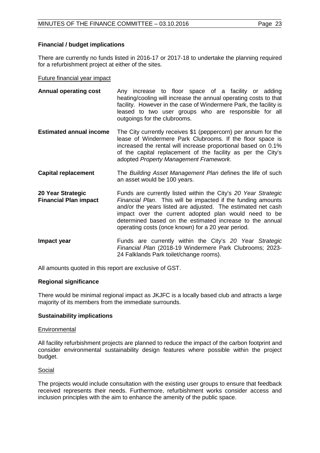# **Financial / budget implications**

There are currently no funds listed in 2016-17 or 2017-18 to undertake the planning required for a refurbishment project at either of the sites.

#### Future financial year impact

- **Annual operating cost** Any increase to floor space of a facility or adding heating/cooling will increase the annual operating costs to that facility. However in the case of Windermere Park, the facility is leased to two user groups who are responsible for all outgoings for the clubrooms.
- **Estimated annual income** The City currently receives \$1 (peppercorn) per annum for the lease of Windermere Park Clubrooms. If the floor space is increased the rental will increase proportional based on 0.1% of the capital replacement of the facility as per the City's adopted *Property Management Framework*.
- **Capital replacement** The *Building Asset Management Plan* defines the life of such an asset would be 100 years.
- **20 Year Strategic Financial Plan impact**  Funds are currently listed within the City's *20 Year Strategic Financial Plan*. This will be impacted if the funding amounts and/or the years listed are adjusted. The estimated net cash impact over the current adopted plan would need to be determined based on the estimated increase to the annual operating costs (once known) for a 20 year period.
- **Impact year Funds** are currently within the City's 20 Year Strategic *Financial Plan* (2018-19 Windermere Park Clubrooms; 2023- 24 Falklands Park toilet/change rooms).

All amounts quoted in this report are exclusive of GST.

#### **Regional significance**

There would be minimal regional impact as JKJFC is a locally based club and attracts a large majority of its members from the immediate surrounds.

#### **Sustainability implications**

#### **Environmental**

All facility refurbishment projects are planned to reduce the impact of the carbon footprint and consider environmental sustainability design features where possible within the project budget.

#### Social

The projects would include consultation with the existing user groups to ensure that feedback received represents their needs. Furthermore, refurbishment works consider access and inclusion principles with the aim to enhance the amenity of the public space.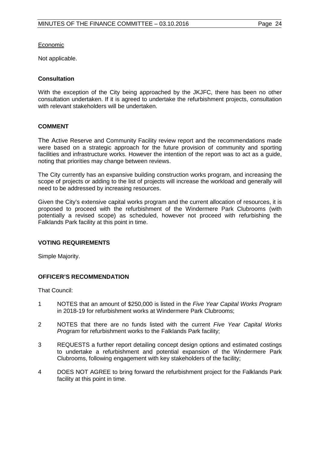Economic

Not applicable.

#### **Consultation**

With the exception of the City being approached by the JKJFC, there has been no other consultation undertaken. If it is agreed to undertake the refurbishment projects, consultation with relevant stakeholders will be undertaken.

#### **COMMENT**

The Active Reserve and Community Facility review report and the recommendations made were based on a strategic approach for the future provision of community and sporting facilities and infrastructure works. However the intention of the report was to act as a guide, noting that priorities may change between reviews.

The City currently has an expansive building construction works program, and increasing the scope of projects or adding to the list of projects will increase the workload and generally will need to be addressed by increasing resources.

Given the City's extensive capital works program and the current allocation of resources, it is proposed to proceed with the refurbishment of the Windermere Park Clubrooms (with potentially a revised scope) as scheduled, however not proceed with refurbishing the Falklands Park facility at this point in time.

#### **VOTING REQUIREMENTS**

Simple Majority.

#### **OFFICER'S RECOMMENDATION**

That Council:

- 1 NOTES that an amount of \$250,000 is listed in the *Five Year Capital Works Program* in 2018-19 for refurbishment works at Windermere Park Clubrooms;
- 2 NOTES that there are no funds listed with the current *Five Year Capital Works Program* for refurbishment works to the Falklands Park facility;
- 3 REQUESTS a further report detailing concept design options and estimated costings to undertake a refurbishment and potential expansion of the Windermere Park Clubrooms, following engagement with key stakeholders of the facility;
- 4 DOES NOT AGREE to bring forward the refurbishment project for the Falklands Park facility at this point in time.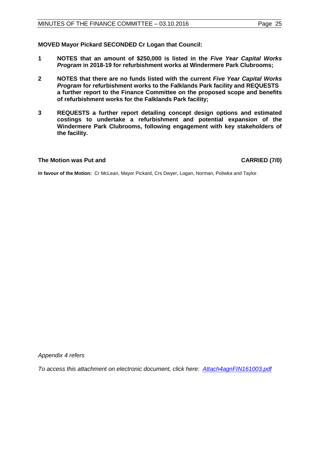**MOVED Mayor Pickard SECONDED Cr Logan that Council:** 

- **1 NOTES that an amount of \$250,000 is listed in the** *Five Year Capital Works Program* **in 2018-19 for refurbishment works at Windermere Park Clubrooms;**
- **2 NOTES that there are no funds listed with the current** *Five Year Capital Works Program* **for refurbishment works to the Falklands Park facility and REQUESTS a further report to the Finance Committee on the proposed scope and benefits of refurbishment works for the Falklands Park facility;**
- **3 REQUESTS a further report detailing concept design options and estimated costings to undertake a refurbishment and potential expansion of the Windermere Park Clubrooms, following engagement with key stakeholders of the facility.**

## **The Motion was Put and CARRIED (7/0)**

**In favour of the Motion:** Cr McLean, Mayor Pickard, Crs Dwyer, Logan, Norman, Poliwka and Taylor.

*Appendix 4 refers*

*[To access this attachment on electronic document, click here: Attach4agnFIN161003.pdf](http://www.joondalup.wa.gov.au/files/committees/FINC/2016/Attach4agnFIN161003.pdf)*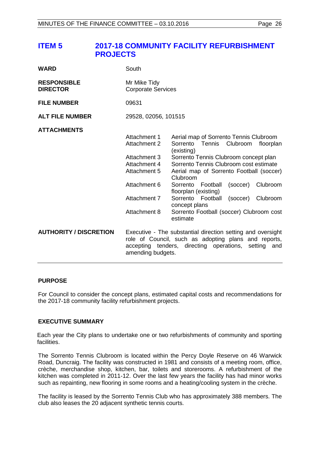# <span id="page-25-0"></span>**ITEM 5 2017-18 COMMUNITY FACILITY REFURBISHMENT PROJECTS**

| <b>WARD</b>                           | South                                                                                                                        |                                                                                                                                                                                                                                                                                                                                                                                                                                              |
|---------------------------------------|------------------------------------------------------------------------------------------------------------------------------|----------------------------------------------------------------------------------------------------------------------------------------------------------------------------------------------------------------------------------------------------------------------------------------------------------------------------------------------------------------------------------------------------------------------------------------------|
| <b>RESPONSIBLE</b><br><b>DIRECTOR</b> | Mr Mike Tidy<br><b>Corporate Services</b>                                                                                    |                                                                                                                                                                                                                                                                                                                                                                                                                                              |
| <b>FILE NUMBER</b>                    | 09631                                                                                                                        |                                                                                                                                                                                                                                                                                                                                                                                                                                              |
| <b>ALT FILE NUMBER</b>                | 29528, 02056, 101515                                                                                                         |                                                                                                                                                                                                                                                                                                                                                                                                                                              |
| <b>ATTACHMENTS</b>                    | Attachment 1<br>Attachment 2<br>Attachment 3<br>Attachment 4<br>Attachment 5<br>Attachment 6<br>Attachment 7<br>Attachment 8 | Aerial map of Sorrento Tennis Clubroom<br>Sorrento<br>Tennis<br>Clubroom<br>floorplan<br>(existing)<br>Sorrento Tennis Clubroom concept plan<br>Sorrento Tennis Clubroom cost estimate<br>Aerial map of Sorrento Football (soccer)<br>Clubroom<br>Clubroom<br>Sorrento<br>Football<br>(soccer)<br>floorplan (existing)<br>Sorrento Football<br>(soccer)<br>Clubroom<br>concept plans<br>Sorrento Football (soccer) Clubroom cost<br>estimate |
| <b>AUTHORITY / DISCRETION</b>         | amending budgets.                                                                                                            | Executive - The substantial direction setting and oversight<br>role of Council, such as adopting plans and reports,<br>accepting tenders, directing operations, setting<br>and                                                                                                                                                                                                                                                               |

#### **PURPOSE**

For Council to consider the concept plans, estimated capital costs and recommendations for the 2017-18 community facility refurbishment projects.

#### **EXECUTIVE SUMMARY**

Each year the City plans to undertake one or two refurbishments of community and sporting facilities.

The Sorrento Tennis Clubroom is located within the Percy Doyle Reserve on 46 Warwick Road, Duncraig. The facility was constructed in 1981 and consists of a meeting room, office, crèche, merchandise shop, kitchen, bar, toilets and storerooms. A refurbishment of the kitchen was completed in 2011-12. Over the last few years the facility has had minor works such as repainting, new flooring in some rooms and a heating/cooling system in the crèche.

The facility is leased by the Sorrento Tennis Club who has approximately 388 members. The club also leases the 20 adjacent synthetic tennis courts.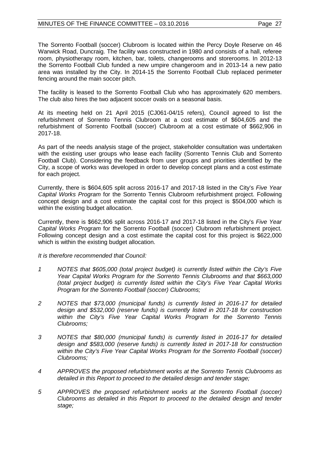#### $MINUTES OF THE FINANCE COMMITTEE -  $03.10.2016$  \nPage 27$

The Sorrento Football (soccer) Clubroom is located within the Percy Doyle Reserve on 46 Warwick Road, Duncraig. The facility was constructed in 1980 and consists of a hall, referee room, physiotherapy room, kitchen, bar, toilets, changerooms and storerooms. In 2012-13 the Sorrento Football Club funded a new umpire changeroom and in 2013-14 a new patio area was installed by the City. In 2014-15 the Sorrento Football Club replaced perimeter fencing around the main soccer pitch.

The facility is leased to the Sorrento Football Club who has approximately 620 members. The club also hires the two adjacent soccer ovals on a seasonal basis.

At its meeting held on 21 April 2015 (CJ061-04/15 refers), Council agreed to list the refurbishment of Sorrento Tennis Clubroom at a cost estimate of \$604,605 and the refurbishment of Sorrento Football (soccer) Clubroom at a cost estimate of \$662,906 in 2017-18.

As part of the needs analysis stage of the project, stakeholder consultation was undertaken with the existing user groups who lease each facility (Sorrento Tennis Club and Sorrento Football Club). Considering the feedback from user groups and priorities identified by the City, a scope of works was developed in order to develop concept plans and a cost estimate for each project.

Currently, there is \$604,605 split across 2016-17 and 2017-18 listed in the City's *Five Year Capital Works Program* for the Sorrento Tennis Clubroom refurbishment project. Following concept design and a cost estimate the capital cost for this project is \$504,000 which is within the existing budget allocation.

Currently, there is \$662,906 split across 2016-17 and 2017-18 listed in the City's *Five Year Capital Works Program* for the Sorrento Football (soccer) Clubroom refurbishment project. Following concept design and a cost estimate the capital cost for this project is \$622,000 which is within the existing budget allocation.

*It is therefore recommended that Council:*

- *1 NOTES that \$605,000 (total project budget) is currently listed within the City's Five Year Capital Works Program for the Sorrento Tennis Clubrooms and that \$663,000 (total project budget) is currently listed within the City's Five Year Capital Works Program for the Sorrento Football (soccer) Clubrooms;*
- *2 NOTES that \$73,000 (municipal funds) is currently listed in 2016-17 for detailed design and \$532,000 (reserve funds) is currently listed in 2017-18 for construction within the City's Five Year Capital Works Program for the Sorrento Tennis Clubrooms;*
- *3 NOTES that \$80,000 (municipal funds) is currently listed in 2016-17 for detailed design and \$583,000 (reserve funds) is currently listed in 2017-18 for construction within the City's Five Year Capital Works Program for the Sorrento Football (soccer) Clubrooms;*
- *4 APPROVES the proposed refurbishment works at the Sorrento Tennis Clubrooms as detailed in this Report to proceed to the detailed design and tender stage;*
- *5 APPROVES the proposed refurbishment works at the Sorrento Football (soccer) Clubrooms as detailed in this Report to proceed to the detailed design and tender stage;*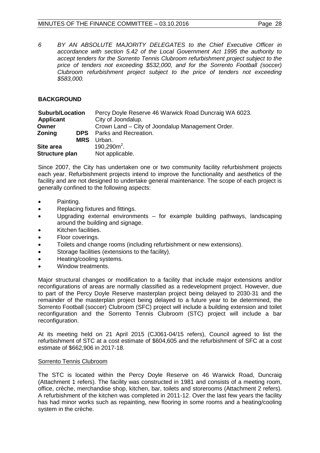*6 BY AN ABSOLUTE MAJORITY DELEGATES to the Chief Executive Officer in accordance with section 5.42 of the Local Government Act 1995 the authority to accept tenders for the Sorrento Tennis Clubroom refurbishment project subject to the price of tenders not exceeding \$532,000, and for the Sorrento Football (soccer) Clubroom refurbishment project subject to the price of tenders not exceeding \$583,000.*

# **BACKGROUND**

| <b>Suburb/Location</b> | Percy Doyle Reserve 46 Warwick Road Duncraig WA 6023. |
|------------------------|-------------------------------------------------------|
| Applicant              | City of Joondalup.                                    |
| Owner                  | Crown Land – City of Joondalup Management Order.      |
| Zoning<br><b>DPS</b>   | Parks and Recreation.                                 |
| <b>MRS</b>             | Urban.                                                |
| Site area              | $190,290m^2$ .                                        |
| <b>Structure plan</b>  | Not applicable.                                       |

Since 2007, the City has undertaken one or two community facility refurbishment projects each year. Refurbishment projects intend to improve the functionality and aesthetics of the facility and are not designed to undertake general maintenance. The scope of each project is generally confined to the following aspects:

- Painting.
- Replacing fixtures and fittings.
- Upgrading external environments for example building pathways, landscaping around the building and signage.
- Kitchen facilities.
- Floor coverings.
- Toilets and change rooms (including refurbishment or new extensions).
- Storage facilities (extensions to the facility).
- Heating/cooling systems.
- Window treatments.

Major structural changes or modification to a facility that include major extensions and/or reconfigurations of areas are normally classified as a redevelopment project. However, due to part of the Percy Doyle Reserve masterplan project being delayed to 2030-31 and the remainder of the masterplan project being delayed to a future year to be determined, the Sorrento Football (soccer) Clubroom (SFC) project will include a building extension and toilet reconfiguration and the Sorrento Tennis Clubroom (STC) project will include a bar reconfiguration.

At its meeting held on 21 April 2015 (CJ061-04/15 refers), Council agreed to list the refurbishment of STC at a cost estimate of \$604,605 and the refurbishment of SFC at a cost estimate of \$662,906 in 2017-18.

#### Sorrento Tennis Clubroom

The STC is located within the Percy Doyle Reserve on 46 Warwick Road, Duncraig (Attachment 1 refers). The facility was constructed in 1981 and consists of a meeting room, office, crèche, merchandise shop, kitchen, bar, toilets and storerooms (Attachment 2 refers). A refurbishment of the kitchen was completed in 2011-12. Over the last few years the facility has had minor works such as repainting, new flooring in some rooms and a heating/cooling system in the crèche.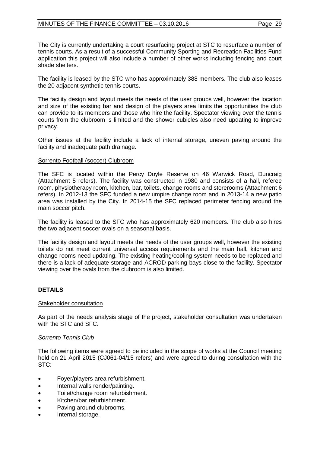The City is currently undertaking a court resurfacing project at STC to resurface a number of tennis courts. As a result of a successful Community Sporting and Recreation Facilities Fund application this project will also include a number of other works including fencing and court shade shelters.

The facility is leased by the STC who has approximately 388 members. The club also leases the 20 adjacent synthetic tennis courts.

The facility design and layout meets the needs of the user groups well, however the location and size of the existing bar and design of the players area limits the opportunities the club can provide to its members and those who hire the facility. Spectator viewing over the tennis courts from the clubroom is limited and the shower cubicles also need updating to improve privacy.

Other issues at the facility include a lack of internal storage, uneven paving around the facility and inadequate path drainage.

#### Sorrento Football (soccer) Clubroom

The SFC is located within the Percy Doyle Reserve on 46 Warwick Road, Duncraig (Attachment 5 refers). The facility was constructed in 1980 and consists of a hall, referee room, physiotherapy room, kitchen, bar, toilets, change rooms and storerooms (Attachment 6 refers). In 2012-13 the SFC funded a new umpire change room and in 2013-14 a new patio area was installed by the City. In 2014-15 the SFC replaced perimeter fencing around the main soccer pitch.

The facility is leased to the SFC who has approximately 620 members. The club also hires the two adjacent soccer ovals on a seasonal basis.

The facility design and layout meets the needs of the user groups well, however the existing toilets do not meet current universal access requirements and the main hall, kitchen and change rooms need updating. The existing heating/cooling system needs to be replaced and there is a lack of adequate storage and ACROD parking bays close to the facility. Spectator viewing over the ovals from the clubroom is also limited.

# **DETAILS**

#### Stakeholder consultation

As part of the needs analysis stage of the project, stakeholder consultation was undertaken with the STC and SFC.

#### *Sorrento Tennis Club*

The following items were agreed to be included in the scope of works at the Council meeting held on 21 April 2015 (CJ061-04/15 refers) and were agreed to during consultation with the STC:

- Foyer/players area refurbishment.
- Internal walls render/painting.
- Toilet/change room refurbishment.
- Kitchen/bar refurbishment.
- Paving around clubrooms.
- Internal storage.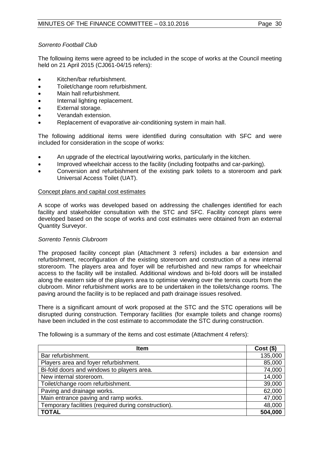# *Sorrento Football Club*

The following items were agreed to be included in the scope of works at the Council meeting held on 21 April 2015 (CJ061-04/15 refers):

- Kitchen/bar refurbishment.
- Toilet/change room refurbishment.
- Main hall refurbishment.
- Internal lighting replacement.
- External storage.
- Verandah extension.
- Replacement of evaporative air-conditioning system in main hall.

The following additional items were identified during consultation with SFC and were included for consideration in the scope of works:

- An upgrade of the electrical layout/wiring works, particularly in the kitchen.
- Improved wheelchair access to the facility (including footpaths and car-parking).
- Conversion and refurbishment of the existing park toilets to a storeroom and park Universal Access Toilet (UAT).

#### Concept plans and capital cost estimates

A scope of works was developed based on addressing the challenges identified for each facility and stakeholder consultation with the STC and SFC. Facility concept plans were developed based on the scope of works and cost estimates were obtained from an external Quantity Surveyor.

#### *Sorrento Tennis Clubroom*

The proposed facility concept plan (Attachment 3 refers) includes a bar extension and refurbishment, reconfiguration of the existing storeroom and construction of a new internal storeroom. The players area and foyer will be refurbished and new ramps for wheelchair access to the facility will be installed. Additional windows and bi-fold doors will be installed along the eastern side of the players area to optimise viewing over the tennis courts from the clubroom. Minor refurbishment works are to be undertaken in the toilets/change rooms. The paving around the facility is to be replaced and path drainage issues resolved.

There is a significant amount of work proposed at the STC and the STC operations will be disrupted during construction. Temporary facilities (for example toilets and change rooms) have been included in the cost estimate to accommodate the STC during construction.

| Item                                                 | $Cost($ \$) |
|------------------------------------------------------|-------------|
| Bar refurbishment.                                   | 135,000     |
| Players area and foyer refurbishment.                | 85,000      |
| Bi-fold doors and windows to players area.           | 74,000      |
| New internal storeroom.                              | 14,000      |
| Toilet/change room refurbishment.                    | 39,000      |
| Paving and drainage works.                           | 62,000      |
| Main entrance paving and ramp works.                 | 47,000      |
| Temporary facilities (required during construction). | 48,000      |
| <b>TOTAL</b>                                         | 504,000     |

The following is a summary of the items and cost estimate (Attachment 4 refers):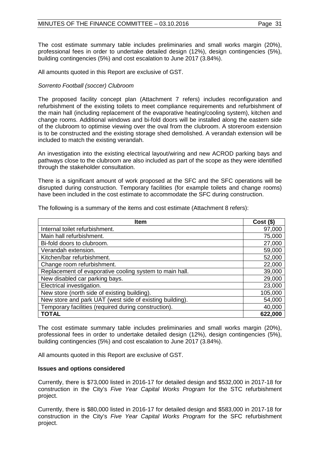The cost estimate summary table includes preliminaries and small works margin (20%), professional fees in order to undertake detailed design (12%), design contingencies (5%), building contingencies (5%) and cost escalation to June 2017 (3.84%).

All amounts quoted in this Report are exclusive of GST.

# *Sorrento Football (soccer) Clubroom*

The proposed facility concept plan (Attachment 7 refers) includes reconfiguration and refurbishment of the existing toilets to meet compliance requirements and refurbishment of the main hall (including replacement of the evaporative heating/cooling system), kitchen and change rooms. Additional windows and bi-fold doors will be installed along the eastern side of the clubroom to optimise viewing over the oval from the clubroom. A storeroom extension is to be constructed and the existing storage shed demolished. A verandah extension will be included to match the existing verandah.

An investigation into the existing electrical layout/wiring and new ACROD parking bays and pathways close to the clubroom are also included as part of the scope as they were identified through the stakeholder consultation.

There is a significant amount of work proposed at the SFC and the SFC operations will be disrupted during construction. Temporary facilities (for example toilets and change rooms) have been included in the cost estimate to accommodate the SFC during construction.

| <b>Item</b>                                              | $Cost($ \$) |
|----------------------------------------------------------|-------------|
| Internal toilet refurbishment.                           | 97,000      |
| Main hall refurbishment.                                 | 75,000      |
| Bi-fold doors to clubroom.                               | 27,000      |
| Verandah extension.                                      | 59,000      |
| Kitchen/bar refurbishment.                               | 52,000      |
| Change room refurbishment.                               | 22,000      |
| Replacement of evaporative cooling system to main hall.  | 39,000      |
| New disabled car parking bays.                           | 29,000      |
| Electrical investigation.                                | 23,000      |
| New store (north side of existing building).             | 105,000     |
| New store and park UAT (west side of existing building). | 54,000      |
| Temporary facilities (required during construction).     | 40,000      |
| <b>TOTAL</b>                                             | 622,000     |

The following is a summary of the items and cost estimate (Attachment 8 refers):

The cost estimate summary table includes preliminaries and small works margin (20%), professional fees in order to undertake detailed design (12%), design contingencies (5%), building contingencies (5%) and cost escalation to June 2017 (3.84%).

All amounts quoted in this Report are exclusive of GST.

#### **Issues and options considered**

Currently, there is \$73,000 listed in 2016-17 for detailed design and \$532,000 in 2017-18 for construction in the City's *Five Year Capital Works Program* for the STC refurbishment project.

Currently, there is \$80,000 listed in 2016-17 for detailed design and \$583,000 in 2017-18 for construction in the City's *Five Year Capital Works Program* for the SFC refurbishment project.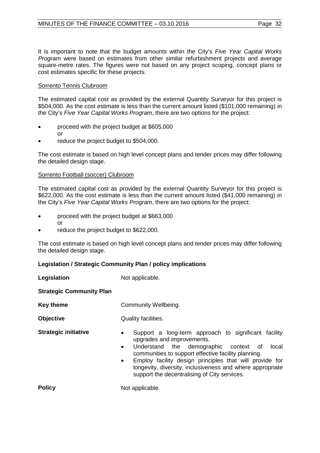It is important to note that the budget amounts within the City's *Five Year Capital Works Program* were based on estimates from other similar refurbishment projects and average square-metre rates. The figures were not based on any project scoping, concept plans or cost estimates specific for these projects.

#### Sorrento Tennis Clubroom

The estimated capital cost as provided by the external Quantity Surveyor for this project is \$504,000. As the cost estimate is less than the current amount listed (\$101,000 remaining) in the City's *Five Year Capital Works Program*, there are two options for the project:

- proceed with the project budget at \$605,000
	-

or

reduce the project budget to \$504,000.

The cost estimate is based on high level concept plans and tender prices may differ following the detailed design stage.

#### Sorrento Football (soccer) Clubroom

The estimated capital cost as provided by the external Quantity Surveyor for this project is \$622,000. As the cost estimate is less than the current amount listed (\$41,000 remaining) in the City's *Five Year Capital Works Program*, there are two options for the project:

- proceed with the project budget at \$663,000 or
- reduce the project budget to \$622,000.

The cost estimate is based on high level concept plans and tender prices may differ following the detailed design stage.

#### **Legislation / Strategic Community Plan / policy implications**

**Legislation** Not applicable.

**Strategic Community Plan**

**Key theme Community Wellbeing.** 

**Objective** Quality facilities.

- **Strategic initiative •** Support a long-term approach to significant facility upgrades and improvements.
	- Understand the demographic context of local communities to support effective facility planning.
	- Employ facility design principles that will provide for longevity, diversity, inclusiveness and where appropriate support the decentralising of City services.

**Policy** Not applicable.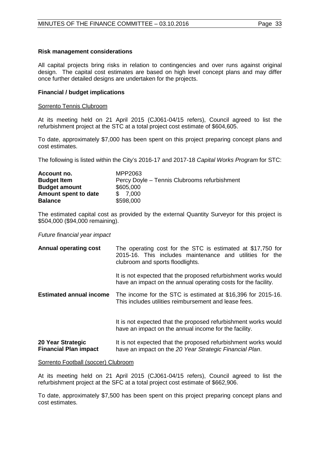#### **Risk management considerations**

All capital projects bring risks in relation to contingencies and over runs against original design. The capital cost estimates are based on high level concept plans and may differ once further detailed designs are undertaken for the projects.

#### **Financial / budget implications**

#### Sorrento Tennis Clubroom

At its meeting held on 21 April 2015 (CJ061-04/15 refers), Council agreed to list the refurbishment project at the STC at a total project cost estimate of \$604,605.

To date, approximately \$7,000 has been spent on this project preparing concept plans and cost estimates.

The following is listed within the City's 2016-17 and 2017-18 *Capital Works Program* for STC:

| Account no.          | MPP2063                                      |
|----------------------|----------------------------------------------|
| <b>Budget Item</b>   | Percy Doyle – Tennis Clubrooms refurbishment |
| <b>Budget amount</b> | \$605,000                                    |
| Amount spent to date | \$7.000                                      |
| <b>Balance</b>       | \$598,000                                    |

The estimated capital cost as provided by the external Quantity Surveyor for this project is \$504,000 (\$94,000 remaining).

#### *Future financial year impact*

| <b>Annual operating cost</b>                      | The operating cost for the STC is estimated at \$17,750 for<br>2015-16. This includes maintenance and utilities for the<br>clubroom and sports floodlights. |
|---------------------------------------------------|-------------------------------------------------------------------------------------------------------------------------------------------------------------|
|                                                   | It is not expected that the proposed refurbishment works would<br>have an impact on the annual operating costs for the facility.                            |
| <b>Estimated annual income</b>                    | The income for the STC is estimated at \$16,396 for 2015-16.<br>This includes utilities reimbursement and lease fees.                                       |
|                                                   | It is not expected that the proposed refurbishment works would<br>have an impact on the annual income for the facility.                                     |
| 20 Year Strategic<br><b>Financial Plan impact</b> | It is not expected that the proposed refurbishment works would<br>have an impact on the 20 Year Strategic Financial Plan.                                   |

#### Sorrento Football (soccer) Clubroom

At its meeting held on 21 April 2015 (CJ061-04/15 refers), Council agreed to list the refurbishment project at the SFC at a total project cost estimate of \$662,906.

To date, approximately \$7,500 has been spent on this project preparing concept plans and cost estimates.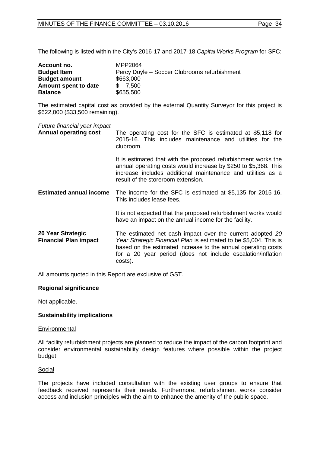The following is listed within the City's 2016-17 and 2017-18 *Capital Works Program* for SFC:

| Account no.          | MPP2064                                      |
|----------------------|----------------------------------------------|
| <b>Budget Item</b>   | Percy Doyle – Soccer Clubrooms refurbishment |
| <b>Budget amount</b> | \$663,000                                    |
| Amount spent to date | \$7.500                                      |
| <b>Balance</b>       | \$655,500                                    |

The estimated capital cost as provided by the external Quantity Surveyor for this project is \$622,000 (\$33,500 remaining).

*Future financial year impact*

| <b>Annual operating cost</b>                      | The operating cost for the SFC is estimated at \$5,118 for<br>2015-16. This includes maintenance and utilities for the<br>clubroom.                                                                                                                                       |
|---------------------------------------------------|---------------------------------------------------------------------------------------------------------------------------------------------------------------------------------------------------------------------------------------------------------------------------|
|                                                   | It is estimated that with the proposed refurbishment works the<br>annual operating costs would increase by \$250 to \$5,368. This<br>increase includes additional maintenance and utilities as a<br>result of the storeroom extension.                                    |
| <b>Estimated annual income</b>                    | The income for the SFC is estimated at \$5,135 for 2015-16.<br>This includes lease fees.                                                                                                                                                                                  |
|                                                   | It is not expected that the proposed refurbishment works would<br>have an impact on the annual income for the facility.                                                                                                                                                   |
| 20 Year Strategic<br><b>Financial Plan impact</b> | The estimated net cash impact over the current adopted 20<br>Year Strategic Financial Plan is estimated to be \$5,004. This is<br>based on the estimated increase to the annual operating costs<br>for a 20 year period (does not include escalation/inflation<br>costs). |

All amounts quoted in this Report are exclusive of GST.

#### **Regional significance**

Not applicable.

#### **Sustainability implications**

#### **Environmental**

All facility refurbishment projects are planned to reduce the impact of the carbon footprint and consider environmental sustainability design features where possible within the project budget.

#### Social

The projects have included consultation with the existing user groups to ensure that feedback received represents their needs. Furthermore, refurbishment works consider access and inclusion principles with the aim to enhance the amenity of the public space.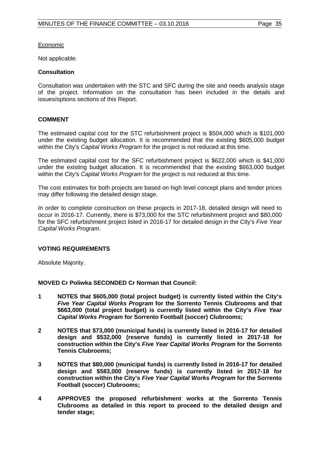Economic

Not applicable.

#### **Consultation**

Consultation was undertaken with the STC and SFC during the site and needs analysis stage of the project. Information on the consultation has been included in the details and issues/options sections of this Report.

## **COMMENT**

The estimated capital cost for the STC refurbishment project is \$504,000 which is \$101,000 under the existing budget allocation. It is recommended that the existing \$605,000 budget within the City's *Capital Works Program* for the project is not reduced at this time.

The estimated capital cost for the SFC refurbishment project is \$622,000 which is \$41,000 under the existing budget allocation. It is recommended that the existing \$663,000 budget within the City's *Capital Works Program* for the project is not reduced at this time.

The cost estimates for both projects are based on high level concept plans and tender prices may differ following the detailed design stage.

In order to complete construction on these projects in 2017-18, detailed design will need to occur in 2016-17. Currently, there is \$73,000 for the STC refurbishment project and \$80,000 for the SFC refurbishment project listed in 2016-17 for detailed design in the City's *Five Year Capital Works Program*.

#### **VOTING REQUIREMENTS**

Absolute Majority.

**MOVED Cr Poliwka SECONDED Cr Norman that Council:**

- **1 NOTES that \$605,000 (total project budget) is currently listed within the City's**  *Five Year Capital Works Program* **for the Sorrento Tennis Clubrooms and that \$663,000 (total project budget) is currently listed within the City's** *Five Year Capital Works Program* **for Sorrento Football (soccer) Clubrooms;**
- **2 NOTES that \$73,000 (municipal funds) is currently listed in 2016-17 for detailed design and \$532,000 (reserve funds) is currently listed in 2017-18 for construction within the City's** *Five Year Capital Works Program* **for the Sorrento Tennis Clubrooms;**
- **3 NOTES that \$80,000 (municipal funds) is currently listed in 2016-17 for detailed design and \$583,000 (reserve funds) is currently listed in 2017-18 for construction within the City's** *Five Year Capital Works Program* **for the Sorrento Football (soccer) Clubrooms;**
- **4 APPROVES the proposed refurbishment works at the Sorrento Tennis Clubrooms as detailed in this report to proceed to the detailed design and tender stage;**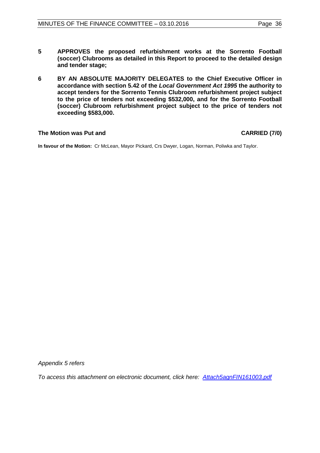- **5 APPROVES the proposed refurbishment works at the Sorrento Football (soccer) Clubrooms as detailed in this Report to proceed to the detailed design and tender stage;**
- **6 BY AN ABSOLUTE MAJORITY DELEGATES to the Chief Executive Officer in accordance with section 5.42 of the** *Local Government Act 1995* **the authority to accept tenders for the Sorrento Tennis Clubroom refurbishment project subject to the price of tenders not exceeding \$532,000, and for the Sorrento Football (soccer) Clubroom refurbishment project subject to the price of tenders not exceeding \$583,000.**

#### **The Motion was Put and CARRIED (7/0)**

**In favour of the Motion:** Cr McLean, Mayor Pickard, Crs Dwyer, Logan, Norman, Poliwka and Taylor.

*Appendix 5 refers*

*[To access this attachment on electronic document, click here: Attach5agnFIN161003.pdf](http://www.joondalup.wa.gov.au/files/committees/FINC/2016/Attach5agnFIN161003.pdf)*